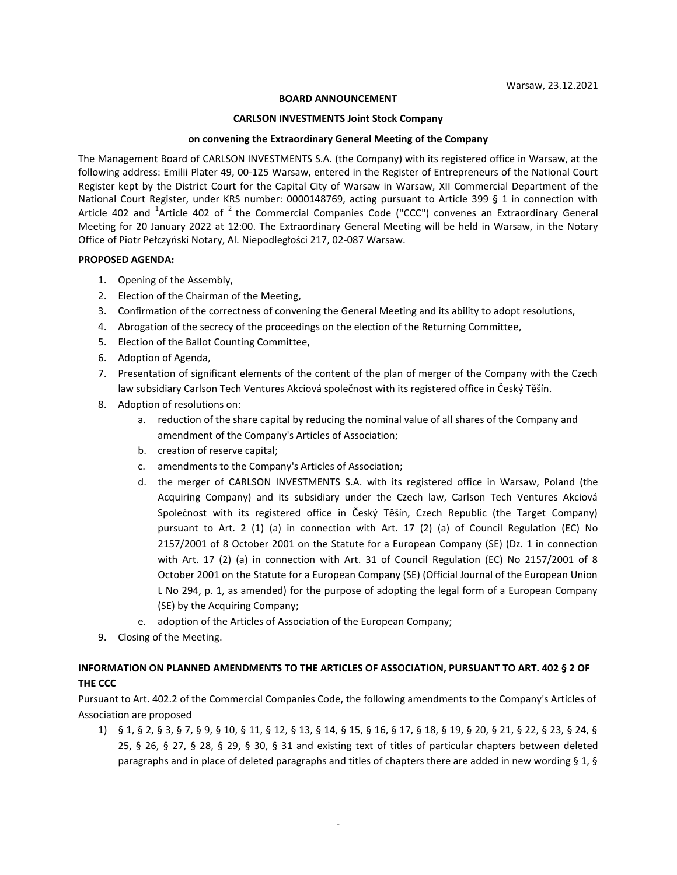### **BOARD ANNOUNCEMENT**

#### **CARLSON INVESTMENTS Joint Stock Company**

#### **on convening the Extraordinary General Meeting of the Company**

The Management Board of CARLSON INVESTMENTS S.A. (the Company) with its registered office in Warsaw, at the following address: Emilii Plater 49, 00-125 Warsaw, entered in the Register of Entrepreneurs of the National Court Register kept by the District Court for the Capital City of Warsaw in Warsaw, XII Commercial Department of the National Court Register, under KRS number: 0000148769, acting pursuant to Article 399 § 1 in connection with Article 402 and <sup>1</sup>Article 402 of <sup>2</sup> the Commercial Companies Code ("CCC") convenes an Extraordinary General Meeting for 20 January 2022 at 12:00. The Extraordinary General Meeting will be held in Warsaw, in the Notary Office of Piotr Pełczyński Notary, Al. Niepodległości 217, 02-087 Warsaw.

### **PROPOSED AGENDA:**

- 1. Opening of the Assembly,
- 2. Election of the Chairman of the Meeting,
- 3. Confirmation of the correctness of convening the General Meeting and its ability to adopt resolutions,
- 4. Abrogation of the secrecy of the proceedings on the election of the Returning Committee,
- 5. Election of the Ballot Counting Committee,
- 6. Adoption of Agenda,
- 7. Presentation of significant elements of the content of the plan of merger of the Company with the Czech law subsidiary Carlson Tech Ventures Akciová společnost with its registered office in Český Těšín.
- 8. Adoption of resolutions on:
	- a. reduction of the share capital by reducing the nominal value of all shares of the Company and amendment of the Company's Articles of Association;
	- b. creation of reserve capital;
	- c. amendments to the Company's Articles of Association;
	- d. the merger of CARLSON INVESTMENTS S.A. with its registered office in Warsaw, Poland (the Acquiring Company) and its subsidiary under the Czech law, Carlson Tech Ventures Akciová Společnost with its registered office in Český Těšín, Czech Republic (the Target Company) pursuant to Art. 2 (1) (a) in connection with Art. 17 (2) (a) of Council Regulation (EC) No 2157/2001 of 8 October 2001 on the Statute for a European Company (SE) (Dz. 1 in connection with Art. 17 (2) (a) in connection with Art. 31 of Council Regulation (EC) No 2157/2001 of 8 October 2001 on the Statute for a European Company (SE) (Official Journal of the European Union L No 294, p. 1, as amended) for the purpose of adopting the legal form of a European Company (SE) by the Acquiring Company;
	- e. adoption of the Articles of Association of the European Company;
- 9. Closing of the Meeting.

# **INFORMATION ON PLANNED AMENDMENTS TO THE ARTICLES OF ASSOCIATION, PURSUANT TO ART. 402 § 2 OF THE CCC**

Pursuant to Art. 402.2 of the Commercial Companies Code, the following amendments to the Company's Articles of Association are proposed

1) § 1, § 2, § 3, § 7, § 9, § 10, § 11, § 12, § 13, § 14, § 15, § 16, § 17, § 18, § 19, § 20, § 21, § 22, § 23, § 24, § 25, § 26, § 27, § 28, § 29, § 30, § 31 and existing text of titles of particular chapters between deleted paragraphs and in place of deleted paragraphs and titles of chapters there are added in new wording § 1, §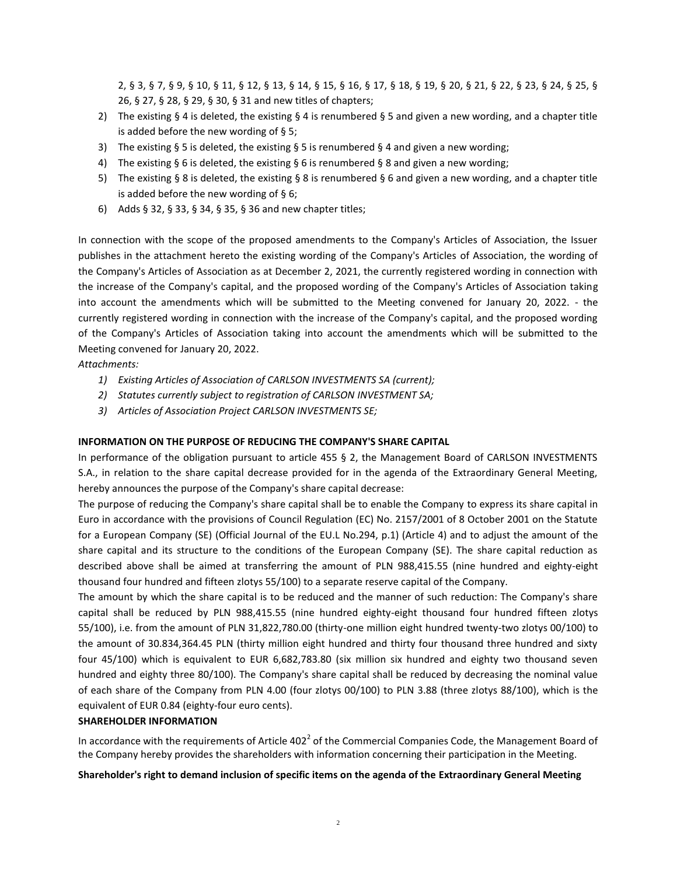2, § 3, § 7, § 9, § 10, § 11, § 12, § 13, § 14, § 15, § 16, § 17, § 18, § 19, § 20, § 21, § 22, § 23, § 24, § 25, § 26, § 27, § 28, § 29, § 30, § 31 and new titles of chapters;

- 2) The existing § 4 is deleted, the existing § 4 is renumbered § 5 and given a new wording, and a chapter title is added before the new wording of § 5;
- 3) The existing § 5 is deleted, the existing § 5 is renumbered § 4 and given a new wording;
- 4) The existing § 6 is deleted, the existing § 6 is renumbered § 8 and given a new wording;
- 5) The existing § 8 is deleted, the existing § 8 is renumbered § 6 and given a new wording, and a chapter title is added before the new wording of § 6;
- 6) Adds § 32, § 33, § 34, § 35, § 36 and new chapter titles;

In connection with the scope of the proposed amendments to the Company's Articles of Association, the Issuer publishes in the attachment hereto the existing wording of the Company's Articles of Association, the wording of the Company's Articles of Association as at December 2, 2021, the currently registered wording in connection with the increase of the Company's capital, and the proposed wording of the Company's Articles of Association taking into account the amendments which will be submitted to the Meeting convened for January 20, 2022. - the currently registered wording in connection with the increase of the Company's capital, and the proposed wording of the Company's Articles of Association taking into account the amendments which will be submitted to the Meeting convened for January 20, 2022.

*Attachments:*

- *1) Existing Articles of Association of CARLSON INVESTMENTS SA (current);*
- *2) Statutes currently subject to registration of CARLSON INVESTMENT SA;*
- *3) Articles of Association Project CARLSON INVESTMENTS SE;*

## **INFORMATION ON THE PURPOSE OF REDUCING THE COMPANY'S SHARE CAPITAL**

In performance of the obligation pursuant to article 455 § 2, the Management Board of CARLSON INVESTMENTS S.A., in relation to the share capital decrease provided for in the agenda of the Extraordinary General Meeting, hereby announces the purpose of the Company's share capital decrease:

The purpose of reducing the Company's share capital shall be to enable the Company to express its share capital in Euro in accordance with the provisions of Council Regulation (EC) No. 2157/2001 of 8 October 2001 on the Statute for a European Company (SE) (Official Journal of the EU.L No.294, p.1) (Article 4) and to adjust the amount of the share capital and its structure to the conditions of the European Company (SE). The share capital reduction as described above shall be aimed at transferring the amount of PLN 988,415.55 (nine hundred and eighty-eight thousand four hundred and fifteen zlotys 55/100) to a separate reserve capital of the Company.

The amount by which the share capital is to be reduced and the manner of such reduction: The Company's share capital shall be reduced by PLN 988,415.55 (nine hundred eighty-eight thousand four hundred fifteen zlotys 55/100), i.e. from the amount of PLN 31,822,780.00 (thirty-one million eight hundred twenty-two zlotys 00/100) to the amount of 30.834,364.45 PLN (thirty million eight hundred and thirty four thousand three hundred and sixty four 45/100) which is equivalent to EUR 6,682,783.80 (six million six hundred and eighty two thousand seven hundred and eighty three 80/100). The Company's share capital shall be reduced by decreasing the nominal value of each share of the Company from PLN 4.00 (four zlotys 00/100) to PLN 3.88 (three zlotys 88/100), which is the equivalent of EUR 0.84 (eighty-four euro cents).

## **SHAREHOLDER INFORMATION**

In accordance with the requirements of Article 402<sup>2</sup> of the Commercial Companies Code, the Management Board of the Company hereby provides the shareholders with information concerning their participation in the Meeting.

### **Shareholder's right to demand inclusion of specific items on the agenda of the Extraordinary General Meeting**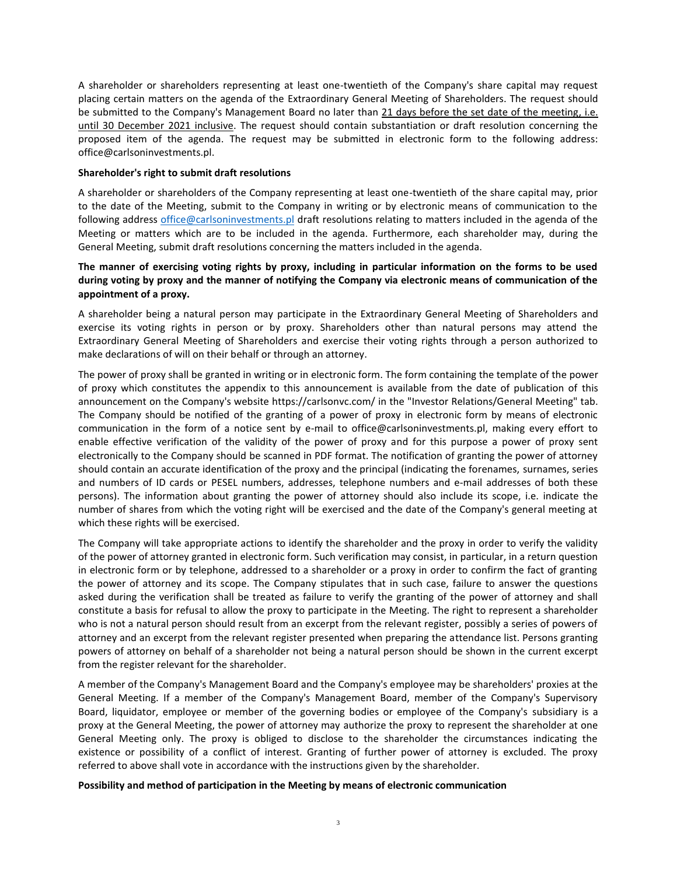A shareholder or shareholders representing at least one-twentieth of the Company's share capital may request placing certain matters on the agenda of the Extraordinary General Meeting of Shareholders. The request should be submitted to the Company's Management Board no later than 21 days before the set date of the meeting, i.e. until 30 December 2021 inclusive. The request should contain substantiation or draft resolution concerning the proposed item of the agenda. The request may be submitted in electronic form to the following address: office@carlsoninvestments.pl.

### **Shareholder's right to submit draft resolutions**

A shareholder or shareholders of the Company representing at least one-twentieth of the share capital may, prior to the date of the Meeting, submit to the Company in writing or by electronic means of communication to the following address [office@carlsoninvestments.pl](mailto:office@carlsoninvestments.pl) draft resolutions relating to matters included in the agenda of the Meeting or matters which are to be included in the agenda. Furthermore, each shareholder may, during the General Meeting, submit draft resolutions concerning the matters included in the agenda.

## **The manner of exercising voting rights by proxy, including in particular information on the forms to be used during voting by proxy and the manner of notifying the Company via electronic means of communication of the appointment of a proxy.**

A shareholder being a natural person may participate in the Extraordinary General Meeting of Shareholders and exercise its voting rights in person or by proxy. Shareholders other than natural persons may attend the Extraordinary General Meeting of Shareholders and exercise their voting rights through a person authorized to make declarations of will on their behalf or through an attorney.

The power of proxy shall be granted in writing or in electronic form. The form containing the template of the power of proxy which constitutes the appendix to this announcement is available from the date of publication of this announcement on the Company's website https://carlsonvc.com/ in the "Investor Relations/General Meeting" tab. The Company should be notified of the granting of a power of proxy in electronic form by means of electronic communication in the form of a notice sent by e-mail to office@carlsoninvestments.pl, making every effort to enable effective verification of the validity of the power of proxy and for this purpose a power of proxy sent electronically to the Company should be scanned in PDF format. The notification of granting the power of attorney should contain an accurate identification of the proxy and the principal (indicating the forenames, surnames, series and numbers of ID cards or PESEL numbers, addresses, telephone numbers and e-mail addresses of both these persons). The information about granting the power of attorney should also include its scope, i.e. indicate the number of shares from which the voting right will be exercised and the date of the Company's general meeting at which these rights will be exercised.

The Company will take appropriate actions to identify the shareholder and the proxy in order to verify the validity of the power of attorney granted in electronic form. Such verification may consist, in particular, in a return question in electronic form or by telephone, addressed to a shareholder or a proxy in order to confirm the fact of granting the power of attorney and its scope. The Company stipulates that in such case, failure to answer the questions asked during the verification shall be treated as failure to verify the granting of the power of attorney and shall constitute a basis for refusal to allow the proxy to participate in the Meeting. The right to represent a shareholder who is not a natural person should result from an excerpt from the relevant register, possibly a series of powers of attorney and an excerpt from the relevant register presented when preparing the attendance list. Persons granting powers of attorney on behalf of a shareholder not being a natural person should be shown in the current excerpt from the register relevant for the shareholder.

A member of the Company's Management Board and the Company's employee may be shareholders' proxies at the General Meeting. If a member of the Company's Management Board, member of the Company's Supervisory Board, liquidator, employee or member of the governing bodies or employee of the Company's subsidiary is a proxy at the General Meeting, the power of attorney may authorize the proxy to represent the shareholder at one General Meeting only. The proxy is obliged to disclose to the shareholder the circumstances indicating the existence or possibility of a conflict of interest. Granting of further power of attorney is excluded. The proxy referred to above shall vote in accordance with the instructions given by the shareholder.

### **Possibility and method of participation in the Meeting by means of electronic communication**